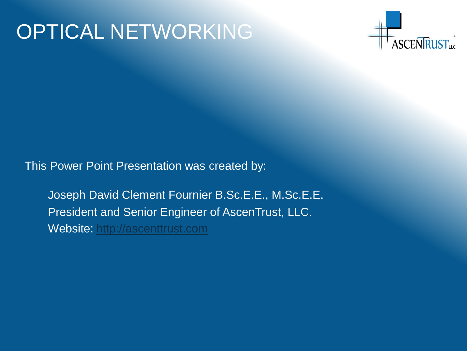# OPTICAL NETWORKING



This Power Point Presentation was created by:

Joseph David Clement Fournier B.Sc.E.E., M.Sc.E.E. President and Senior Engineer of AscenTrust, LLC. Website: [http://ascenttrust.com](http://ascenttrust.com/)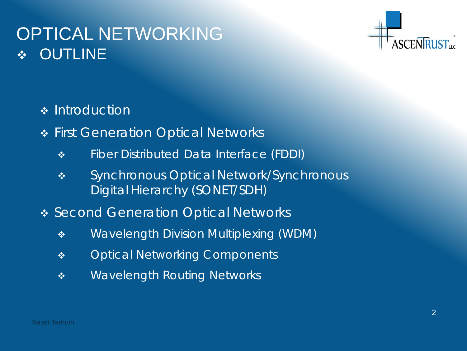# OPTICAL NETWORKING **OUTLINE**



- **❖** Introduction
- **\* First Generation Optical Networks** 
	- **\*** Fiber Distributed Data Interface (FDDI)
	- **\*** Synchronous Optical Network/Synchronous Digital Hierarchy (SONET/SDH)
- ◆ Second Generation Optical Networks
	- Wavelength Division Multiplexing (WDM)
	- **\*** Optical Networking Components
	- **\*** Wavelength Routing Networks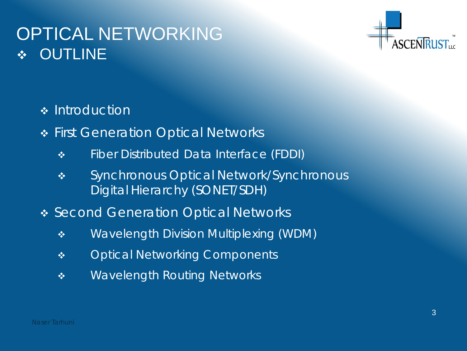# OPTICAL NETWORKING **OUTLINE**



- **❖** Introduction
- **\* First Generation Optical Networks** 
	- **\*** Fiber Distributed Data Interface (FDDI)
	- **\*** Synchronous Optical Network/Synchronous Digital Hierarchy (SONET/SDH)
- ◆ Second Generation Optical Networks
	- Wavelength Division Multiplexing (WDM)
	- **\*** Optical Networking Components
	- **\*** Wavelength Routing Networks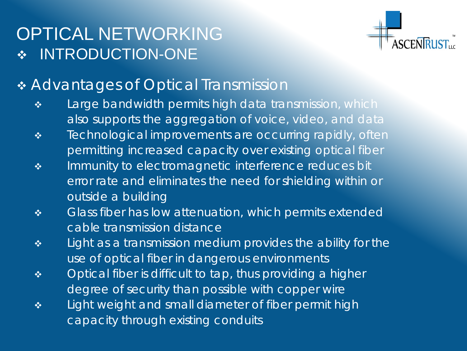# OPTICAL NETWORKING INTRODUCTION-ONE



### \* Advantages of Optical Transmission

- **\*** Large bandwidth permits high data transmission, which also supports the aggregation of voice, video, and data
- **\*** Technological improvements are occurring rapidly, often permitting increased capacity over existing optical fiber
- **\*** Immunity to electromagnetic interference reduces bit error rate and eliminates the need for shielding within or outside a building
- **Glass fiber has low attenuation, which permits extended** cable transmission distance
- **\*** Light as a transmission medium provides the ability for the use of optical fiber in dangerous environments
- Optical fiber is difficult to tap, thus providing a higher degree of security than possible with copper wire
- **\*** Light weight and small diameter of fiber permit high capacity through existing conduits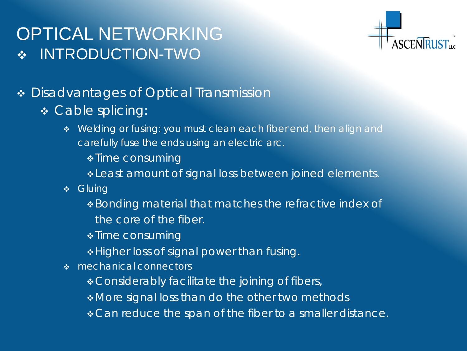# OPTICAL NETWORKING INTRODUCTION-TWO



### • Disadvantages of Optical Transmission

- Cable splicing:
	- Welding or fusing: you must clean each fiber end, then align and carefully fuse the ends using an electric arc.
		- $\triangle$  Time consuming
		- \*Least amount of signal loss between joined elements.
	- **\*** Gluing
		- Bonding material that matches the refractive index of the core of the fiber.
		- $\triangle$  Time consuming
		- **\*Higher loss of signal power than fusing.**
	- mechanical connectors
		- \* Considerably facilitate the joining of fibers,
		- More signal loss than do the other two methods
		- \* Can reduce the span of the fiber to a smaller distance.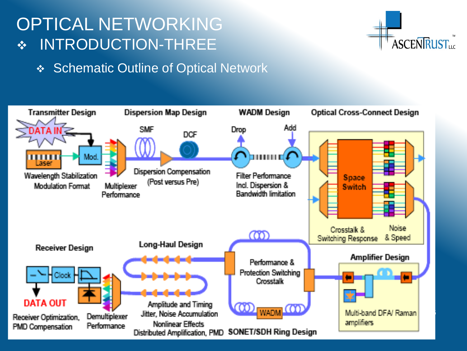# OPTICAL NETWORKING INTRODUCTION-THREE



◆ Schematic Outline of Optical Network

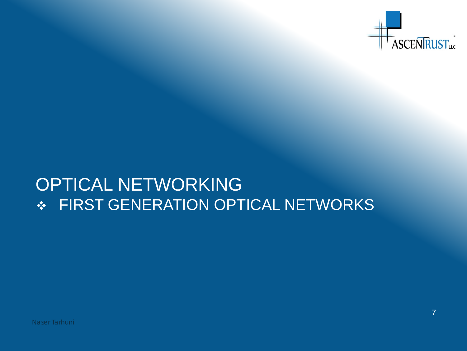

# OPTICAL NETWORKING FIRST GENERATION OPTICAL NETWORKS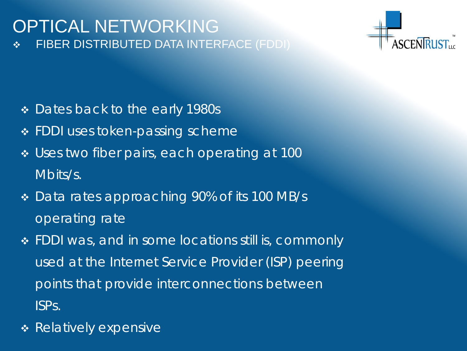## OPTICAL NETWORKING FIBER DISTRIBUTED DATA INTERFACE (FDDI)



- Dates back to the early 1980s
- **\* FDDI uses token-passing scheme**
- Uses two fiber pairs, each operating at 100 Mbits/s.
- Data rates approaching 90% of its 100 MB/s operating rate
- FDDI was, and in some locations still is, commonly used at the Internet Service Provider (ISP) peering points that provide interconnections between ISPs.
- \* Relatively expensive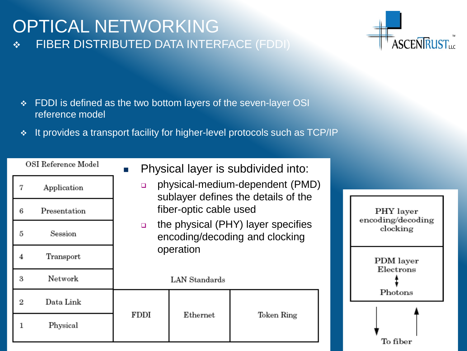## OPTICAL NETWORKING FIBER DISTRIBUTED DATA INTERFACE (FDDI)



- FDDI is defined as the two bottom layers of the seven-layer OSI reference model
- \* It provides a transport facility for higher-level protocols such as TCP/IP

| OSI Reference Model<br>Physical layer is subdivided into:<br>$\mathcal{C}_{\mathcal{A}}$ |              |        |                        |                                                                        |            |           |                                            |
|------------------------------------------------------------------------------------------|--------------|--------|------------------------|------------------------------------------------------------------------|------------|-----------|--------------------------------------------|
| 7                                                                                        | Application  | $\Box$ |                        | physical-medium-dependent (PMD)<br>sublayer defines the details of the |            |           |                                            |
| 6                                                                                        | Presentation |        | fiber-optic cable used |                                                                        |            |           | PHY layer<br>encoding/decoding<br>clocking |
| 5                                                                                        | Session      | $\Box$ |                        | the physical (PHY) layer specifies<br>encoding/decoding and clocking   |            |           |                                            |
| 4                                                                                        | Transport    |        |                        | operation                                                              |            | PDM layer |                                            |
| 3                                                                                        | Network      |        |                        | LAN Standards                                                          |            | Electrons |                                            |
| 2                                                                                        | Data Link    | FDDI   |                        |                                                                        |            | Photons   |                                            |
| 1                                                                                        | Physical     |        |                        | Ethernet                                                               | Token Ring |           |                                            |
|                                                                                          |              |        |                        |                                                                        |            |           | To fiber                                   |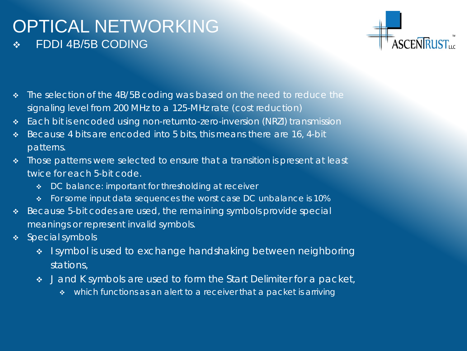## OPTICAL NETWORKING FDDI 4B/5B CODING



- The selection of the 4B/5B coding was based on the need to reduce the signaling level from 200 MHz to a 125-MHz rate (cost reduction)
- Each bit is encoded using non-returnto-zero-inversion (NRZI) transmission
- $\cdot$  Because 4 bits are encoded into 5 bits, this means there are 16, 4-bit patterns.
- Those patterns were selected to ensure that a transition is present at least twice for each 5-bit code.
	- DC balance: important for thresholding at receiver
	- For some input data sequences the worst case DC unbalance is 10%
- \* Because 5-bit codes are used, the remaining symbols provide special meanings or represent invalid symbols.
- $\div$  Special symbols
	- I symbol is used to exchange handshaking between neighboring stations,
	- J and K symbols are used to form the Start Delimiter for a packet,
		- which functions as an alert to a receiver that a packet is arriving.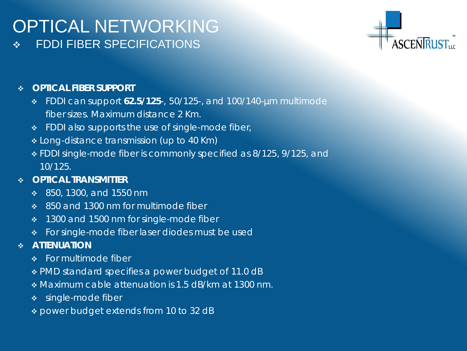## OPTICAL NETWORKING FDDI FIBER SPECIFICATIONS



#### **OPTICAL FIBER SUPPORT**

- FDDI can support **62.5/125**-, 50/125-, and 100/140-µm multimode fiber sizes. Maximum distance 2 Km.
- FDDI also supports the use of single-mode fiber,
- Long-distance transmission (up to 40 Km)
- FDDI single-mode fiber is commonly specified as 8/125, 9/125, and 10/125.

#### **OPTICAL TRANSMITTER**

- 850, 1300, and 1550 nm
- ◆ 850 and 1300 nm for multimode fiber
- ◆ 1300 and 1500 nm for single-mode fiber
- For single-mode fiber laser diodes must be used

#### **ATTENUATION**

- ◆ For multimode fiber
- PMD standard specifies a power budget of 11.0 dB
- Maximum cable attenuation is 1.5 dB/km at 1300 nm.
- **❖** single-mode fiber
- power budget extends from 10 to 32 dB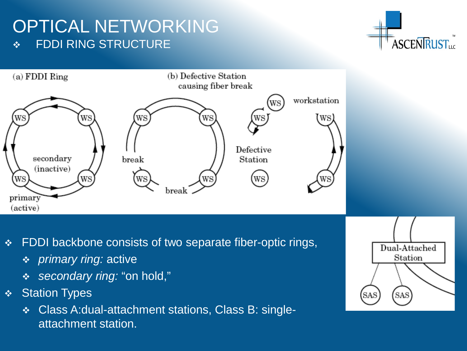## OPTICAL NETWORKING **\*** FDDI RING STRUCTURE





- ❖ FDDI backbone consists of two separate fiber-optic rings,
	- *primary ring:* active
	- *secondary ring:* "on hold,"
- **❖** Station Types
	- Class A:dual-attachment stations, Class B: singleattachment station.

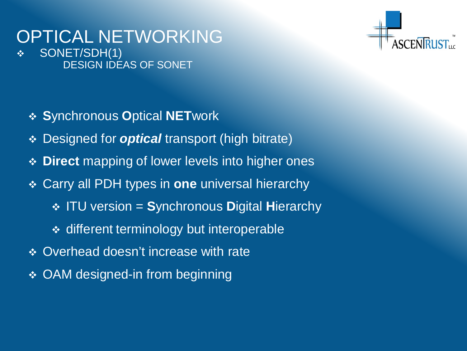#### OPTICAL NETWORKING SONET/SDH(1)

DESIGN IDEAS OF SONET

- **S**ynchronous **O**ptical **NET**work
- Designed for *optical* transport (high bitrate)
- **Direct** mapping of lower levels into higher ones
- Carry all PDH types in **one** universal hierarchy
	- ITU version = **S**ynchronous **D**igital **H**ierarchy
	- **↑ different terminology but interoperable**
- ◆ Overhead doesn't increase with rate
- ◆ OAM designed-in from beginning

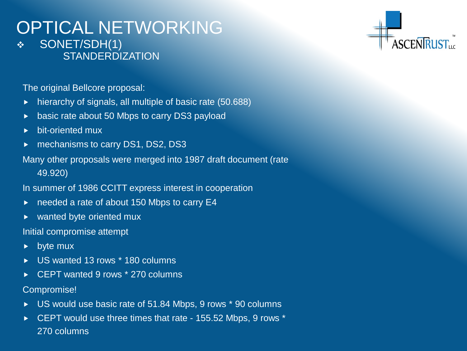#### OPTICAL NETWORKING SONET/SDH(1) **STANDERDIZATION**

The original Bellcore proposal:

- $\blacktriangleright$  hierarchy of signals, all multiple of basic rate (50.688)
- basic rate about 50 Mbps to carry DS3 payload
- $\blacktriangleright$  bit-oriented mux
- ▶ mechanisms to carry DS1, DS2, DS3

Many other proposals were merged into 1987 draft document (rate 49.920)

In summer of 1986 CCITT express interest in cooperation

- ▶ needed a rate of about 150 Mbps to carry E4
- ▶ wanted byte oriented mux

Initial compromise attempt

- $\blacktriangleright$  byte mux
- US wanted 13 rows  $*$  180 columns
- ► CEPT wanted 9 rows  $*$  270 columns

Compromise!

- ▶ US would use basic rate of 51.84 Mbps, 9 rows \* 90 columns
- ▶ CEPT would use three times that rate 155.52 Mbps, 9 rows \* 270 columns

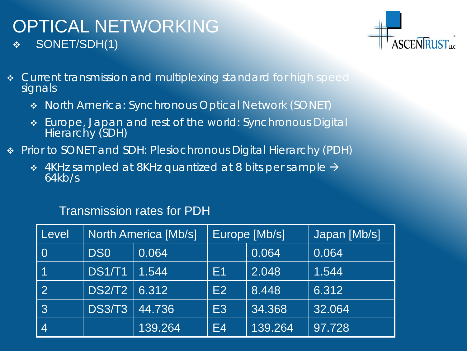## OPTICAL NETWORKING SONET/SDH(1)



- Current transmission and multiplexing standard for high speed signals
	- North America: Synchronous Optical Network (SONET)
	- **Europe, Japan and rest of the world: Synchronous Digitall** Hierarchy (SDH)
- Prior to SONET and SDH: Plesiochronous Digital Hierarchy (PDH)
	- $\div$  4KHz sampled at 8KHz quantized at 8 bits per sample  $\rightarrow$ 64kb/s

#### Transmission rates for PDH

| Level |                 | North America [Mb/s] |                | Europe [Mb/s] | Japan [Mb/s] |
|-------|-----------------|----------------------|----------------|---------------|--------------|
|       | DS <sub>0</sub> | 0.064                |                | 0.064         | 0.064        |
|       | <b>DS1/T1</b>   | 1.544                | E1             | 2.048         | 1.544        |
|       | <b>DS2/T2</b>   | 6.312                | E2             | 8.448         | 6.312        |
| 3     | <b>DS3/T3</b>   | 44.736               | E <sub>3</sub> | 34.368        | 32.064       |
|       |                 | 139.264              | <b>E4</b>      | 139.264       | 97.728       |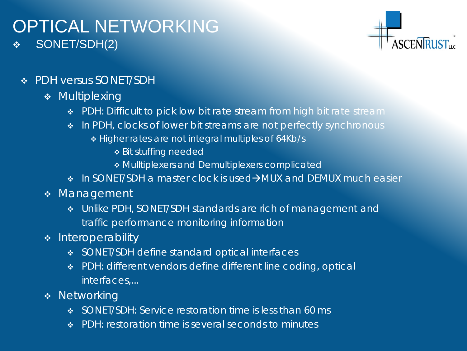## OPTICAL NETWORKING SONET/SDH(2)



- **❖ PDH versus SONET/SDH** 
	- **\*** Multiplexing
		- PDH: Difficult to pick low bit rate stream from high bit rate stream
		- In PDH, clocks of lower bit streams are not perfectly synchronous
			- \* Higher rates are not integral multiples of 64Kb/s
				- Bit stuffing needed
				- Mulltiplexers and Demultiplexers complicated
		- $\cdot$  In SONET/SDH a master clock is used  $\rightarrow$  MUX and DEMUX much easier
	- **Management** 
		- Unlike PDH, SONET/SDH standards are rich of management and traffic performance monitoring information
	- $\triangleleft$  Interoperability
		- SONET/SDH define standard optical interfaces
		- PDH: different vendors define different line coding, optical interfaces,...
	- **\*** Networking
		- SONET/SDH: Service restoration time is less than 60 ms
		- PDH: restoration time is several seconds to minutes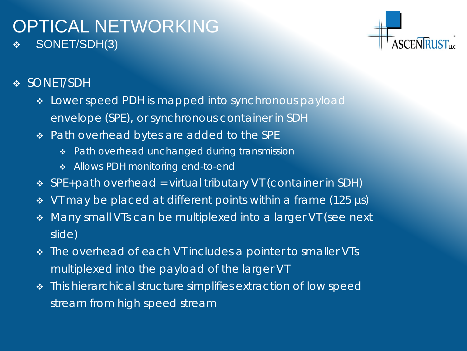## OPTICAL NETWORKING SONET/SDH(3)



#### **❖ SONET/SDH**

- Lower speed PDH is mapped into *synchronous payload envelope* (SPE), or *synchronous container* in SDH
- \* Path overhead bytes are added to the SPE
	- Path overhead unchanged during transmission
	- \* Allows PDH monitoring end-to-end
- SPE+path overhead = *virtual tributary* VT (*container* in SDH)
- VT may be placed at different points within a frame (125 *µ*s)
- Many small VTs can be multiplexed into a larger VT (see next slide)
- The overhead of each VT includes a pointer to smaller VTs multiplexed into the payload of the larger VT
- This hierarchical structure simplifies extraction of low speed stream from high speed stream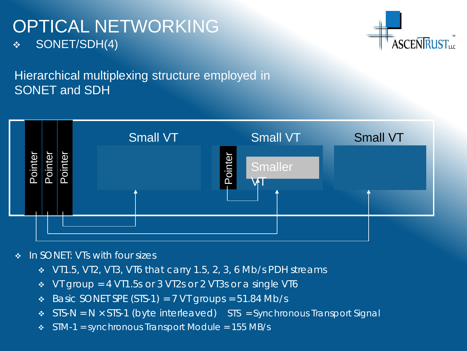## OPTICAL NETWORKING  $\div$  SONET/SDH(4)



Hierarchical multiplexing structure employed in SONET and SDH



- In SONET: VTs with four sizes
	- $\cdot$  VT1.5, VT2, VT3, VT6 that carry 1.5, 2, 3, 6 Mb/s PDH streams
	- $\cdot$  VT group = 4 VT1.5s or 3 VT2s or 2 VT3s or a single VT6
	- $\div$  Basic SONET SPE (STS-1) = 7 VT groups = 51.84 Mb/s
	- STS-*N* = *N* × STS-1 (byte interleaved) *STS = Synchronous Transport Signal*
	- STM*-1 = synchronous Transport Module* = 155 MB/s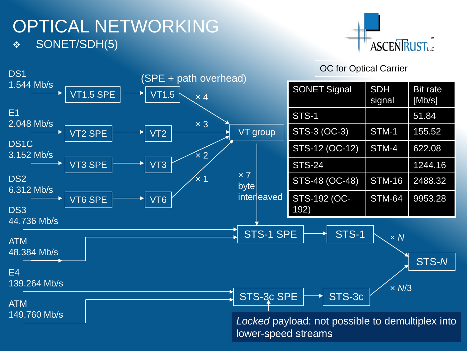## OPTICAL NETWORKING SONET/SDH(5)



#### OC for Optical Carrier

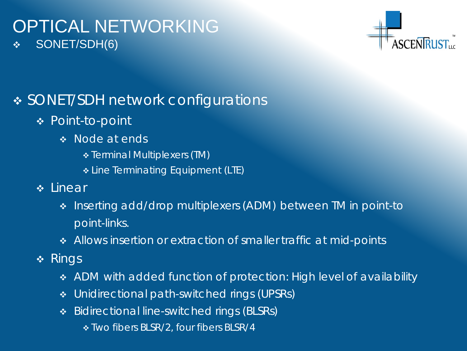## OPTICAL NETWORKING SONET/SDH(6)



## ◆ SONET/SDH network configurations

- **\*** Point-to-point
	- Node at ends
		- Terminal Multiplexers (TM)
		- Line Terminating Equipment (LTE)
- **❖** Linear
	- \* Inserting add/drop multiplexers (ADM) between TM in point-to point-links.
	- Allows insertion or extraction of smaller traffic at mid-points
- $\triangleleft$  Rings
	- ADM with added function of protection: High level of availability
	- ◆ Unidirectional path-switched rings (UPSRs)
	- ◆ Bidirectional line-switched rings (BLSRs)
		- \* Two fibers BLSR/2, four fibers BLSR/4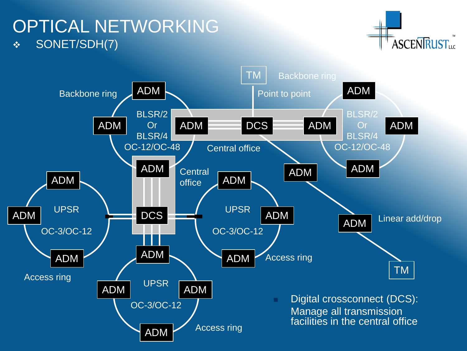## OPTICAL NETWORKING SONET/SDH(7)



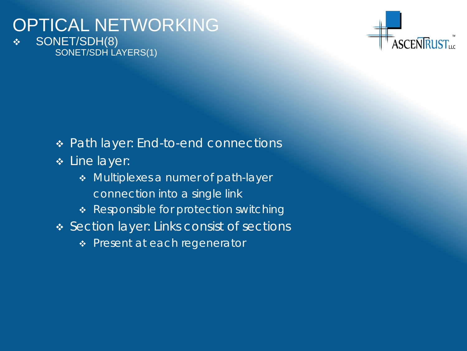#### OPTICAL NETWORKING SONET/SDH(8) SONET/SDH LAYERS(1)



- ◆ Path layer: End-to-end connections
- **\*** Line layer:
	- Multiplexes a numer of path-layer connection into a single link
	- \* Responsible for protection switching
- ◆ Section layer: Links consist of sections
	- Present at each regenerator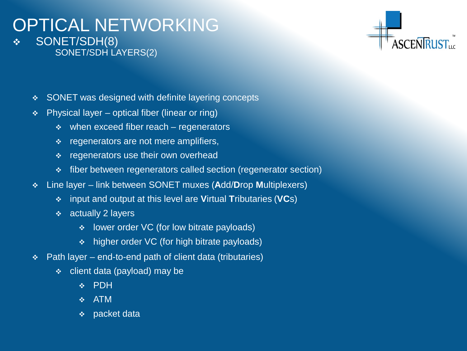#### OPTICAL NETWORKING SONET/SDH(8) SONET/SDH LAYERS(2)



- ◆ SONET was designed with definite layering concepts
- $\div$  Physical layer optical fiber (linear or ring)
	- $\div$  when exceed fiber reach regenerators
	- $\cdot$  regenerators are not mere amplifiers,
	- $\div$  regenerators use their own overhead
	- fiber between regenerators called section (regenerator section)
- Line layer link between SONET muxes (**A**dd/**D**rop **M**ultiplexers)
	- input and output at this level are **V**irtual **T**ributaries (**VC**s)
	- $\div$  actually 2 layers
		- lower order VC (for low bitrate payloads)
		- higher order VC (for high bitrate payloads)
- $\div$  Path layer end-to-end path of client data (tributaries)
	- $\div$  client data (payload) may be
		- ❖ PDH
		- ATM
		- $\div$  packet data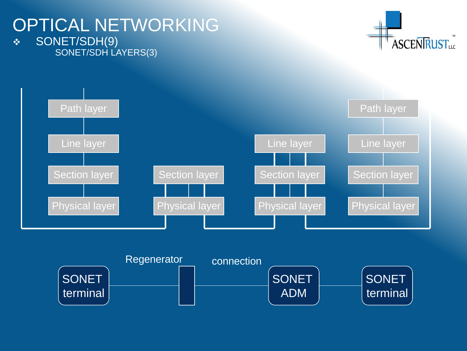#### OPTICAL NETWORKING SONET/SDH(9) SONET/SDH LAYERS(3)





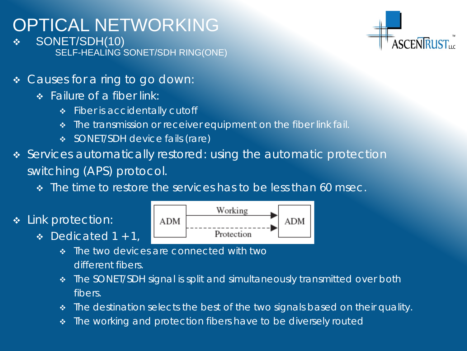# OPTICAL NETWORKING

 SONET/SDH(10) SELF-HEALING SONET/SDH RING(ONE)

- ◆ Causes for a ring to go down:
	- Failure of a fiber link:
		- ◆ Fiber is accidentally cutoff
		- The transmission or receiver equipment on the fiber link fail.
		- SONET/SDH device fails (rare)
- Services automatically restored: using the *automatic protection switching (APS)* protocol.
	- The time to restore the services has to be less than 60 msec.
- **\*** Link protection:
	- *Dedicated 1* + *1,* 
		- The two devices are connected with two different fibers.
		- The SONET/SDH signal is split and simultaneously transmitted over both fibers.
		- The destination selects the best of the two signals based on their quality.
		- The working and protection fibers have to be *diversely routed*

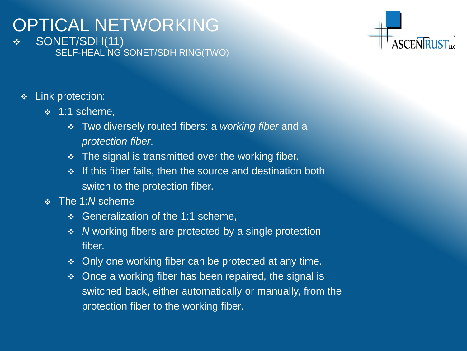#### OPTICAL NETWORKING SONET/SDH(11) SELF-HEALING SONET/SDH RING(TWO)



- **Example 2** Link protection:
	- $\div$  1:1 scheme,
		- Two diversely routed fibers: a *working fiber* and a *protection fiber*.
		- $\div$  The signal is transmitted over the working fiber.
		- $\cdot$  If this fiber fails, then the source and destination both switch to the protection fiber.
	- The 1:*N* scheme
		- Generalization of the 1:1 scheme,
		- *N* working fibers are protected by a single protection fiber.
		- Only one working fiber can be protected at any time.
		- Once a working fiber has been repaired, the signal is switched back, either automatically or manually, from the protection fiber to the working fiber.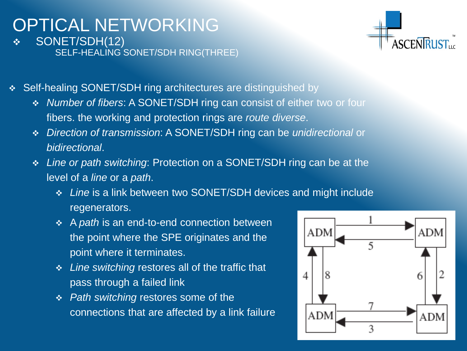### OPTICAL NETWORKING SONET/SDH(12)

**ASCENTR** 

◆ Self-healing SONET/SDH ring architectures are distinguished by

SELF-HEALING SONET/SDH RING(THREE)

- ◆ *Number of fibers*: A SONET/SDH ring can consist of either two or four fibers. the working and protection rings are *route diverse*.
- *Direction of transmission*: A SONET/SDH ring can be *unidirectional* or *bidirectional*.
- *Line or path switching*: Protection on a SONET/SDH ring can be at the level of a *line* or a *path*.
	- *Line* is a link between two SONET/SDH devices and might include regenerators.
	- A *path* is an end-to-end connection between the point where the SPE originates and the point where it terminates.
	- *Line switching* restores all of the traffic that pass through a failed link
	- *Path switching* restores some of the connections that are affected by a link failure.

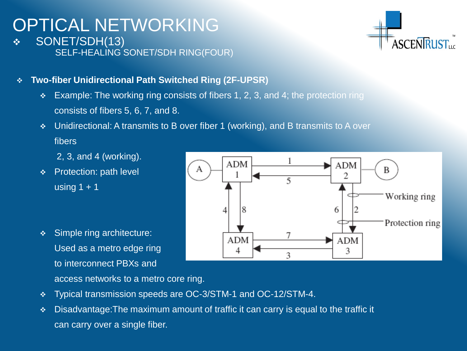### OPTICAL NETWORKING SONET/SDH(13)



**Two-fiber Unidirectional Path Switched Ring (2F-UPSR)**

SELF-HEALING SONET/SDH RING(FOUR)

- Example: The working ring consists of fibers 1, 2, 3, and 4; the protection ring consists of fibers 5, 6, 7, and 8.
- $\cdot$  Unidirectional: A transmits to B over fiber 1 (working), and B transmits to A over fibers
	- 2, 3, and 4 (working).
- ◆ Protection: path level using  $1 + 1$





- Typical transmission speeds are OC-3/STM-1 and OC-12/STM-4.
- Disadvantage: The maximum amount of traffic it can carry is equal to the traffic it can carry over a single fiber.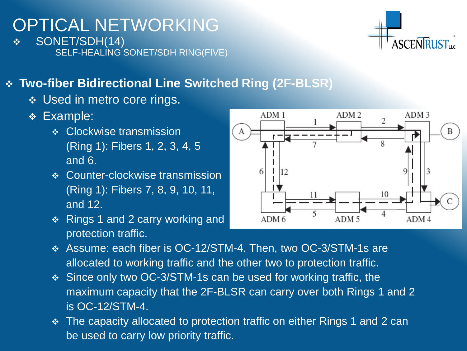#### **Two-fiber Bidirectional Line Switched Ring (2F-BLSR)**

- ◆ Used in metro core rings.
- Example:
	- **EXA Clockwise transmission** (Ring 1): Fibers 1, 2, 3, 4, 5 and 6.
	- ◆ Counter-clockwise transmission (Ring 1): Fibers 7, 8, 9, 10, 11, and 12.
	- $\div$  Rings 1 and 2 carry working and protection traffic.
	- Assume: each fiber is OC-12/STM-4. Then, two OC-3/STM-1s are allocated to working traffic and the other two to protection traffic.
	- Since only two OC-3/STM-1s can be used for working traffic, the maximum capacity that the 2F-BLSR can carry over both Rings 1 and 2 is OC-12/STM-4.
	- The capacity allocated to protection traffic on either Rings 1 and 2 can be used to carry low priority traffic.





# OPTICAL NETWORKING

 SONET/SDH(14) SELF-HEALING SONET/SDH RING(FIVE)